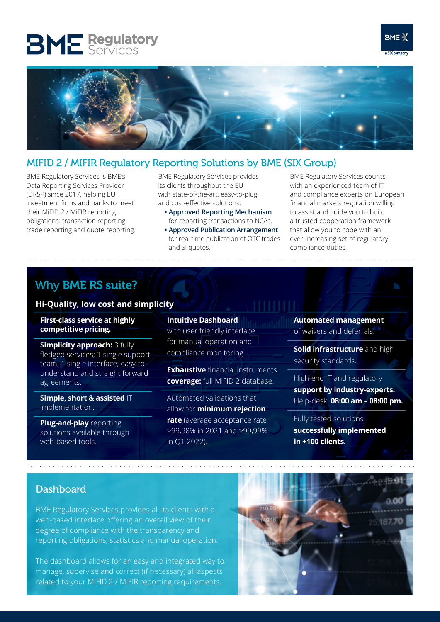# **BME** Regulatory





## MIFID 2 / MIFIR Regulatory Reporting Solutions by BME (SIX Group)

BME Regulatory Services is BME's Data Reporting Services Provider (DRSP) since 2017, helping EU investment firms and banks to meet their MiFID 2 / MiFIR reporting obligations: transaction reporting, trade reporting and quote reporting.

BME Regulatory Services provides its clients throughout the EU with state-of-the-art, easy-to-plug and cost-effective solutions:

- **• Approved Reporting Mechanism**  for reporting transactions to NCAs.
- **Approved Publication Arrangement** for real time publication of OTC trades and SI quotes.

BME Regulatory Services counts with an experienced team of IT and compliance experts on European financial markets regulation willing to assist and guide you to build a trusted cooperation framework that allow you to cope with an ever-increasing set of regulatory compliance duties.

## Why BME RS suite?

#### **Hi-Quality, low cost and simplicity**

**First-class service at highly competitive pricing.**

**Simplicity approach:** 3 fully fledged services; 1 single support team; 1 single interface; easy-tounderstand and straight forward agreements.

**Simple, short & assisted** IT implementation.

**Plug-and-play** reporting solutions available through web-based tools.

**Intuitive Dashboard** with user friendly interface for manual operation and compliance monitoring.

**Exhaustive** financial instruments **coverage:** full MiFID 2 database.

Automated validations that allow for **minimum rejection rate** (average acceptance rate >99,98% in 2021 and >99,99% in Q1 2022).

**Automated management**  of waivers and deferrals.

**Solid infrastructure** and high security standards.

High-end IT and regulatory **support by industry-experts.**  Help-desk: **08:00 am – 08:00 pm.**

Fully tested solutions

**successfully implemented in +100 clients.**

## **Dashboard**

BME Regulatory Services provides all its clients with a web-based interface offering an overall view of their degree of compliance with the transparency and reporting obligations, statistics and manual operation.

The dashboard allows for an easy and integrated way to manage, supervise and correct (if necessary) all aspects related to your MiFID 2 / MiFIR reporting requirements.